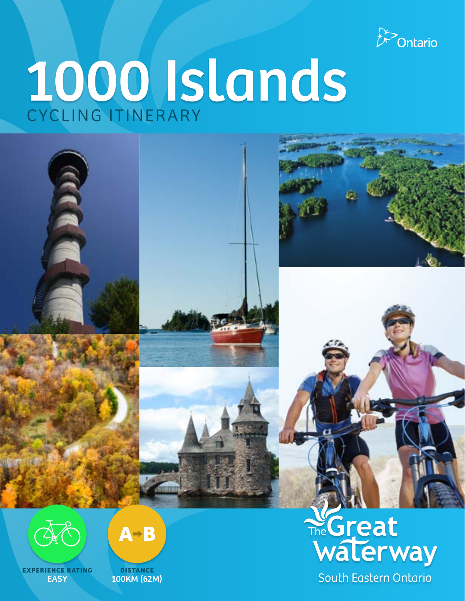

# 1000 Islands





**Experience Rating EASY** 



**distance** 100km (62m)

# The Great<br>Walerway South Eastern Ontario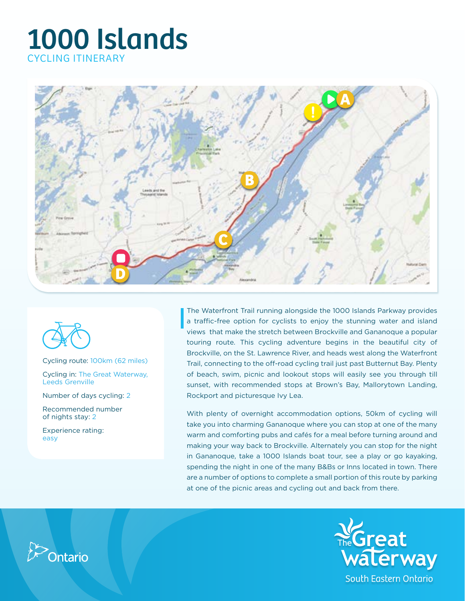



Cycling route: 100km (62 miles)

Cycling in: The Great Waterway, Leeds Grenville

Number of days cycling: 2

Recommended number of nights stay: 2

Experience rating: easy

The Waterfront Trail running alongside the 1000 Islands Parkway provides a traffic-free option for cyclists to enjoy the stunning water and island views that make the stretch between Brockville and Gananoque a popular touring route. This cycling adventure begins in the beautiful city of Brockville, on the St. Lawrence River, and heads west along the Waterfront Trail, connecting to the off-road cycling trail just past Butternut Bay. Plenty of beach, swim, picnic and lookout stops will easily see you through till sunset, with recommended stops at Brown's Bay, Mallorytown Landing, Rockport and picturesque Ivy Lea.

With plenty of overnight accommodation options, 50km of cycling will take you into charming Gananoque where you can stop at one of the many warm and comforting pubs and cafés for a meal before turning around and making your way back to Brockville. Alternately you can stop for the night in Gananoque, take a 1000 Islands boat tour, see a play or go kayaking, spending the night in one of the many B&Bs or Inns located in town. There are a number of options to complete a small portion of this route by parking at one of the picnic areas and cycling out and back from there.



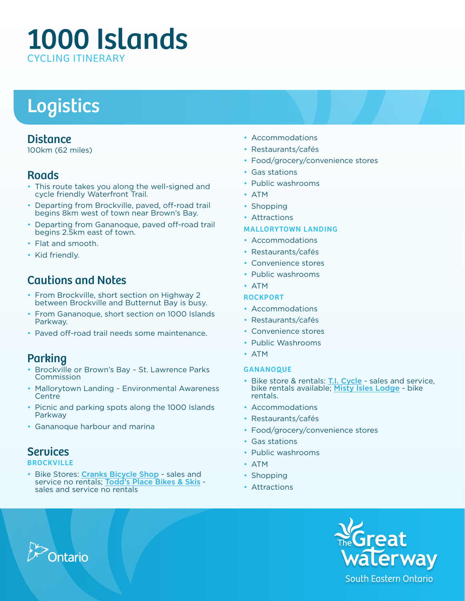# Logistics

## **Distance**

100km (62 miles)

## **Roads**

- This route takes you along the well-signed and cycle friendly Waterfront Trail.
- Departing from Brockville, paved, off-road trail begins 8km west of town near Brown's Bay.
- Departing from Gananoque, paved off-road trail begins 2.5km east of town.
- Flat and smooth.
- Kid friendly.

# Cautions and Notes

- From Brockville, short section on Highway 2 between Brockville and Butternut Bay is busy.
- From Gananoque, short section on 1000 Islands Parkway.
- Paved off-road trail needs some maintenance.

# **Parking**

- Brockville or Brown's Bay ~ St. Lawrence Parks Commission
- Mallorytown Landing ~ Environmental Awareness **Centre**
- Picnic and parking spots along the 1000 Islands Parkway
- Gananoque harbour and marina

# **Services**

### **BROCKVILLE**

• Bike Stores: Cranks Bicycle Shop - sales and service no rentals; Todd's Place Bikes & Skis sales and service no rentals

- Accommodations
- • Restaurants/cafés
- Food/grocery/convenience stores
- Gas stations
- Public washrooms
- • ATM
- Shopping
- Attractions

### Mallorytown Landing

- Accommodations
- • Restaurants/cafés
- • Convenience stores
- Public washrooms
- • ATM

### **ROCKPORT**

- Accommodations
- Restaurants/cafés
- Convenience stores
- Public Washrooms
- • ATM

### **GANANOQUE**

- Bike store & rentals: **T.I. Cycle** sales and service, bike rentals available; Misty Isles Lodge - bike rentals.
- • Accommodations
- • Restaurants/cafés
- Food/grocery/convenience stores
- • Gas stations
- Public washrooms
- • ATM
- Shopping
- Attractions



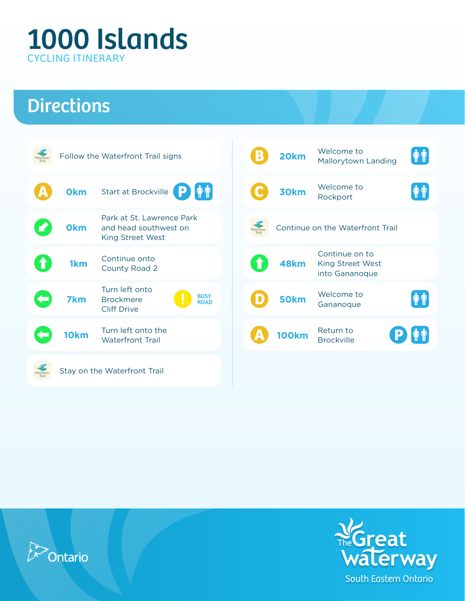# **Directions**